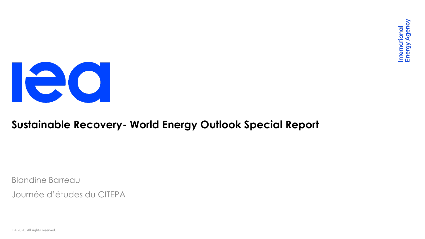

#### **Sustainable Recovery- World Energy Outlook Special Report**

Blandine Barreau

Journée d'études du CITEPA

IEA 2020. All rights reserved.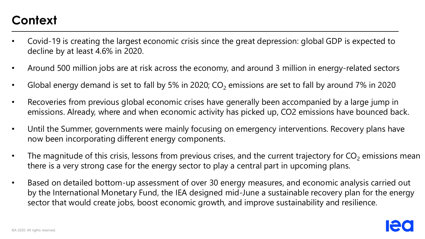## **Context**

- Covid-19 is creating the largest economic crisis since the great depression: global GDP is expected to decline by at least 4.6% in 2020.
- Around 500 million jobs are at risk across the economy, and around 3 million in energy-related sectors
- Global energy demand is set to fall by 5% in 2020;  $CO<sub>2</sub>$  emissions are set to fall by around 7% in 2020
- Recoveries from previous global economic crises have generally been accompanied by a large jump in emissions. Already, where and when economic activity has picked up, CO2 emissions have bounced back.
- Until the Summer, governments were mainly focusing on emergency interventions. Recovery plans have now been incorporating different energy components.
- The magnitude of this crisis, lessons from previous crises, and the current trajectory for  $CO<sub>2</sub>$  emissions mean there is a very strong case for the energy sector to play a central part in upcoming plans.
- Based on detailed bottom-up assessment of over 30 energy measures, and economic analysis carried out by the International Monetary Fund, the IEA designed mid-June a sustainable recovery plan for the energy sector that would create jobs, boost economic growth, and improve sustainability and resilience.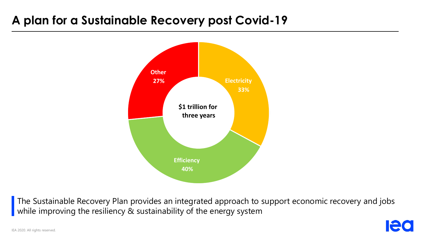### **A plan for a Sustainable Recovery post Covid-19**



The Sustainable Recovery Plan provides an integrated approach to support economic recovery and jobs while improving the resiliency & sustainability of the energy system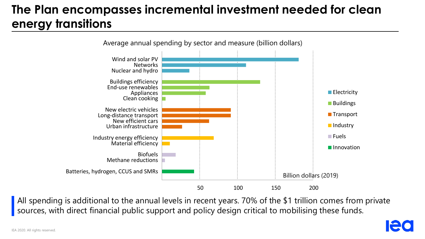# **The Plan encompasses incremental investment needed for clean energy transitions**



All spending is additional to the annual levels in recent years. 70% of the \$1 trillion comes from private sources, with direct financial public support and policy design critical to mobilising these funds.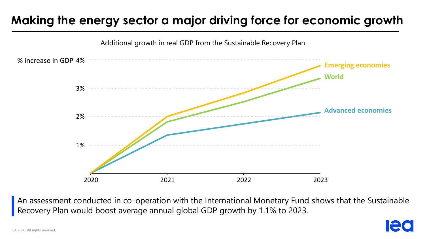# **Making the energy sector a major driving force for economic growth**



An assessment conducted in co-operation with the International Monetary Fund shows that the Sustainable Recovery Plan would boost average annual global GDP growth by 1.1% to 2023.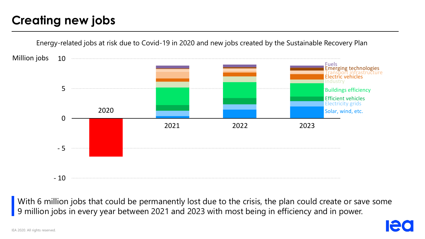## **Creating new jobs**



With 6 million jobs that could be permanently lost due to the crisis, the plan could create or save some 9 million jobs in every year between 2021 and 2023 with most being in efficiency and in power.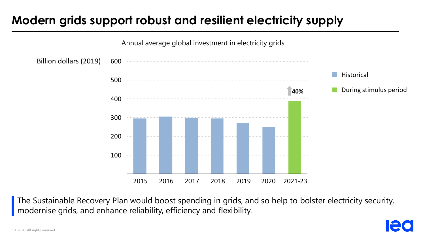## **Modern grids support robust and resilient electricity supply**



The Sustainable Recovery Plan would boost spending in grids, and so help to bolster electricity security, modernise grids, and enhance reliability, efficiency and flexibility.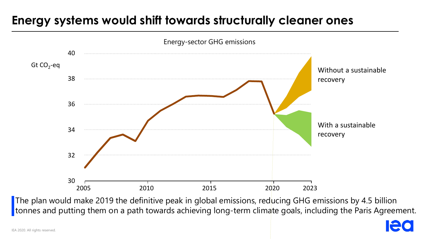## **Energy systems would shift towards structurally cleaner ones**



The plan would make 2019 the definitive peak in global emissions, reducing GHG emissions by 4.5 billion tonnes and putting them on a path towards achieving long-term climate goals, including the Paris Agreement.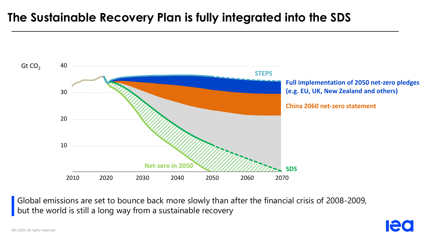#### **The Sustainable Recovery Plan is fully integrated into the SDS**



Global emissions are set to bounce back more slowly than after the financial crisis of 2008-2009, but the world is still a long way from a sustainable recovery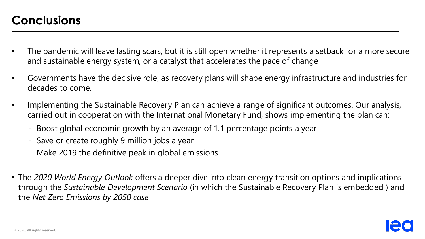- The pandemic will leave lasting scars, but it is still open whether it represents a setback for a more secure and sustainable energy system, or a catalyst that accelerates the pace of change
- Governments have the decisive role, as recovery plans will shape energy infrastructure and industries for decades to come.
- Implementing the Sustainable Recovery Plan can achieve a range of significant outcomes. Our analysis, carried out in cooperation with the International Monetary Fund, shows implementing the plan can:
	- Boost global economic growth by an average of 1.1 percentage points a year
	- Save or create roughly 9 million jobs a year
	- Make 2019 the definitive peak in global emissions
- The *2020 World Energy Outlook* offers a deeper dive into clean energy transition options and implications through the *Sustainable Development Scenario* (in which the Sustainable Recovery Plan is embedded ) and the *Net Zero Emissions by 2050 case*